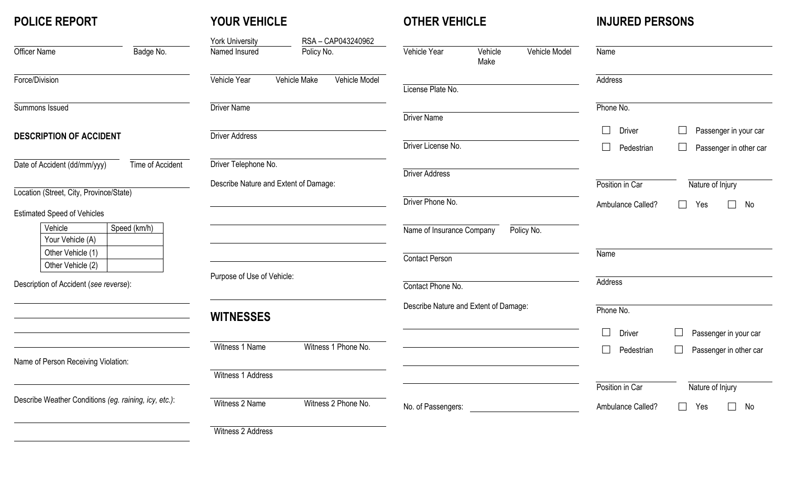# **POLICE REPORT**

# **YOUR VEHICLE**

# **OTHER VEHICLE**

**INJURED PERSONS**

|                                                       |              | <b>York University</b>                        | RSA-CAP043240962    |                                       |                 |               |                         |                                  |
|-------------------------------------------------------|--------------|-----------------------------------------------|---------------------|---------------------------------------|-----------------|---------------|-------------------------|----------------------------------|
| Officer Name                                          | Badge No.    | Named Insured                                 | Policy No.          | Vehicle Year                          | Vehicle<br>Make | Vehicle Model | Name                    |                                  |
| Force/Division                                        |              | Vehicle Model<br>Vehicle Year<br>Vehicle Make |                     |                                       |                 |               | Address                 |                                  |
|                                                       |              |                                               |                     | License Plate No.                     |                 |               |                         |                                  |
| Summons Issued                                        |              | <b>Driver Name</b>                            |                     |                                       |                 |               | Phone No.               |                                  |
|                                                       |              |                                               |                     | <b>Driver Name</b>                    |                 |               |                         |                                  |
| <b>DESCRIPTION OF ACCIDENT</b>                        |              | <b>Driver Address</b>                         |                     |                                       |                 |               | $\Box$<br><b>Driver</b> | Passenger in your car            |
|                                                       |              |                                               |                     | Driver License No.                    |                 |               | $\Box$<br>Pedestrian    | Passenger in other car           |
| Date of Accident (dd/mm/yyy)<br>Time of Accident      |              | Driver Telephone No.                          |                     |                                       |                 |               |                         |                                  |
|                                                       |              |                                               |                     | <b>Driver Address</b>                 |                 |               |                         |                                  |
| Location (Street, City, Province/State)               |              | Describe Nature and Extent of Damage:         |                     |                                       |                 |               | Position in Car         | Nature of Injury                 |
|                                                       |              |                                               |                     | Driver Phone No.                      |                 |               | Ambulance Called?       | П<br>Yes<br>No<br>$\Box$         |
| <b>Estimated Speed of Vehicles</b>                    |              |                                               |                     |                                       |                 |               |                         |                                  |
| Vehicle<br>Your Vehicle (A)                           | Speed (km/h) |                                               |                     | Name of Insurance Company             |                 | Policy No.    |                         |                                  |
| Other Vehicle (1)                                     |              |                                               |                     |                                       |                 |               | Name                    |                                  |
| Other Vehicle (2)                                     |              |                                               |                     | Contact Person                        |                 |               |                         |                                  |
|                                                       |              | Purpose of Use of Vehicle:                    |                     |                                       |                 |               | Address                 |                                  |
| Description of Accident (see reverse):                |              |                                               |                     | Contact Phone No.                     |                 |               |                         |                                  |
|                                                       |              |                                               |                     | Describe Nature and Extent of Damage: |                 |               | Phone No.               |                                  |
|                                                       |              | <b>WITNESSES</b>                              |                     |                                       |                 |               |                         |                                  |
|                                                       |              |                                               |                     |                                       |                 |               | $\Box$<br><b>Driver</b> | Passenger in your car            |
|                                                       |              | Witness 1 Name                                | Witness 1 Phone No. |                                       |                 |               | $\Box$<br>Pedestrian    | $\Box$<br>Passenger in other car |
| Name of Person Receiving Violation:                   |              |                                               |                     |                                       |                 |               |                         |                                  |
|                                                       |              | Witness 1 Address                             |                     |                                       |                 |               |                         |                                  |
|                                                       |              |                                               |                     |                                       |                 |               | Position in Car         | Nature of Injury                 |
| Describe Weather Conditions (eg. raining, icy, etc.): |              | Witness 2 Name                                | Witness 2 Phone No. | No. of Passengers:                    |                 |               | Ambulance Called?       | П<br>No<br>Yes<br>$\Box$         |
|                                                       |              |                                               |                     |                                       |                 |               |                         |                                  |
|                                                       |              | Witness 2 Address                             |                     |                                       |                 |               |                         |                                  |